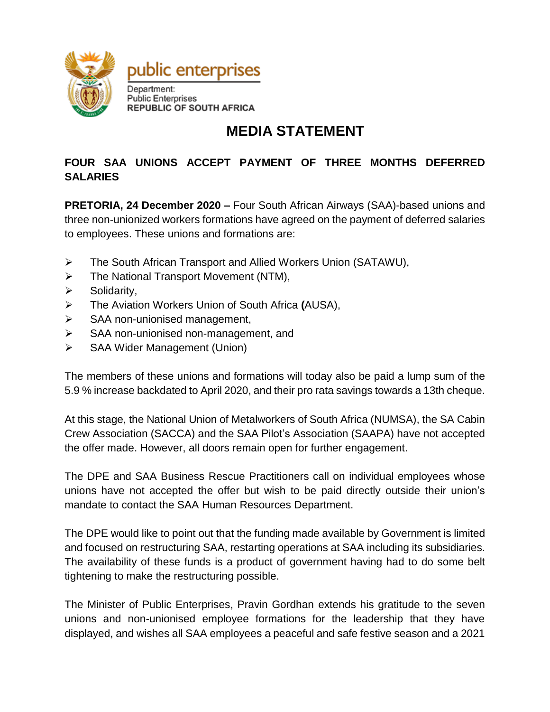

## **MEDIA STATEMENT**

## **FOUR SAA UNIONS ACCEPT PAYMENT OF THREE MONTHS DEFERRED SALARIES**

**PRETORIA, 24 December 2020 –** Four South African Airways (SAA)-based unions and three non-unionized workers formations have agreed on the payment of deferred salaries to employees. These unions and formations are:

- The South African Transport and Allied Workers Union (SATAWU),
- > The National Transport Movement (NTM),
- $\triangleright$  Solidarity,
- The Aviation Workers Union of South Africa **(**AUSA),
- $\triangleright$  SAA non-unionised management,
- $\triangleright$  SAA non-unionised non-management, and
- SAA Wider Management (Union)

The members of these unions and formations will today also be paid a lump sum of the 5.9 % increase backdated to April 2020, and their pro rata savings towards a 13th cheque.

At this stage, the National Union of Metalworkers of South Africa (NUMSA), the SA Cabin Crew Association (SACCA) and the SAA Pilot's Association (SAAPA) have not accepted the offer made. However, all doors remain open for further engagement.

The DPE and SAA Business Rescue Practitioners call on individual employees whose unions have not accepted the offer but wish to be paid directly outside their union's mandate to contact the SAA Human Resources Department.

The DPE would like to point out that the funding made available by Government is limited and focused on restructuring SAA, restarting operations at SAA including its subsidiaries. The availability of these funds is a product of government having had to do some belt tightening to make the restructuring possible.

The Minister of Public Enterprises, Pravin Gordhan extends his gratitude to the seven unions and non-unionised employee formations for the leadership that they have displayed, and wishes all SAA employees a peaceful and safe festive season and a 2021